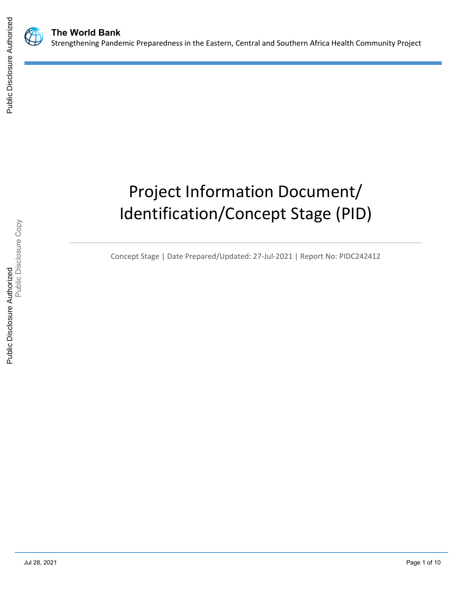



# Project Information Document/ Identification/Concept Stage (PID)

Concept Stage | Date Prepared/Updated: 27-Jul-2021 | Report No: PIDC242412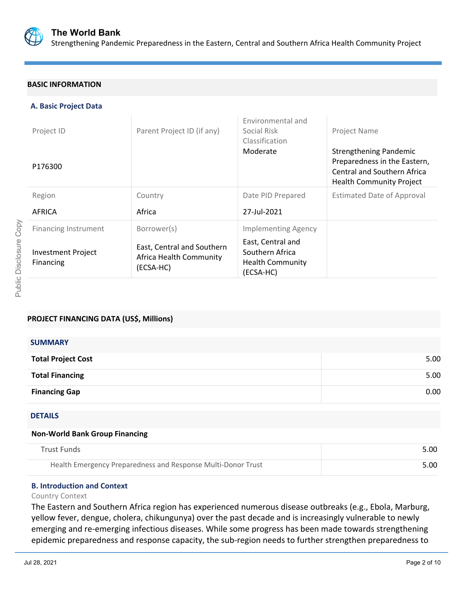

## **BASIC INFORMATION**

## **A. Basic Project Data**

| Project ID                             | Parent Project ID (if any)                                         | Environmental and<br>Social Risk<br>Classification                           | Project Name                                                                                                                           |
|----------------------------------------|--------------------------------------------------------------------|------------------------------------------------------------------------------|----------------------------------------------------------------------------------------------------------------------------------------|
| P176300                                |                                                                    | Moderate                                                                     | <b>Strengthening Pandemic</b><br>Preparedness in the Eastern,<br><b>Central and Southern Africa</b><br><b>Health Community Project</b> |
| Region                                 | Country                                                            | Date PID Prepared                                                            | <b>Estimated Date of Approval</b>                                                                                                      |
| AFRICA                                 | Africa                                                             | 27-Jul-2021                                                                  |                                                                                                                                        |
| <b>Financing Instrument</b>            | Borrower(s)                                                        | <b>Implementing Agency</b>                                                   |                                                                                                                                        |
| <b>Investment Project</b><br>Financing | East, Central and Southern<br>Africa Health Community<br>(ECSA-HC) | East, Central and<br>Southern Africa<br><b>Health Community</b><br>(ECSA-HC) |                                                                                                                                        |

## **PROJECT FINANCING DATA (US\$, Millions)**

| <b>SUMMARY</b>            |      |
|---------------------------|------|
| <b>Total Project Cost</b> | 5.00 |
| <b>Total Financing</b>    | 5.00 |
| <b>Financing Gap</b>      | 0.00 |

### DETAILS

## **Non-World Bank Group Financing**

| Trust Funds                                                  | 5.00 |
|--------------------------------------------------------------|------|
| Health Emergency Preparedness and Response Multi-Donor Trust | 5.00 |

## **B. Introduction and Context**

#### Country Context

The Eastern and Southern Africa region has experienced numerous disease outbreaks (e.g., Ebola, Marburg, yellow fever, dengue, cholera, chikungunya) over the past decade and is increasingly vulnerable to newly emerging and re-emerging infectious diseases. While some progress has been made towards strengthening epidemic preparedness and response capacity, the sub-region needs to further strengthen preparedness to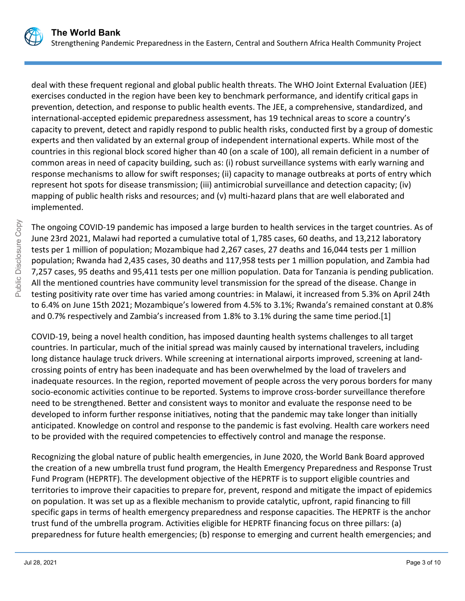

deal with these frequent regional and global public health threats. The WHO Joint External Evaluation (JEE) exercises conducted in the region have been key to benchmark performance, and identify critical gaps in prevention, detection, and response to public health events. The JEE, a comprehensive, standardized, and international-accepted epidemic preparedness assessment, has 19 technical areas to score a country's capacity to prevent, detect and rapidly respond to public health risks, conducted first by a group of domestic experts and then validated by an external group of independent international experts. While most of the countries in this regional block scored higher than 40 (on a scale of 100), all remain deficient in a number of common areas in need of capacity building, such as: (i) robust surveillance systems with early warning and response mechanisms to allow for swift responses; (ii) capacity to manage outbreaks at ports of entry which represent hot spots for disease transmission; (iii) antimicrobial surveillance and detection capacity; (iv) mapping of public health risks and resources; and (v) multi-hazard plans that are well elaborated and

The ongoing COVID-19 pandemic has imposed a large burden to health services in the target countries. As of June 23rd 2021, Malawi had reported a cumulative total of 1,785 cases, 60 deaths, and 13,212 laboratory tests per 1 million of population; Mozambique had 2,267 cases, 27 deaths and 16,044 tests per 1 million population; Rwanda had 2,435 cases, 30 deaths and 117,958 tests per 1 million population, and Zambia had 7,257 cases, 95 deaths and 95,411 tests per one million population. Data for Tanzania is pending publication. All the mentioned countries have community level transmission for the spread of the disease. Change in testing positivity rate over time has varied among countries: in Malawi, it increased from 5.3% on April 24th to 6.4% on June 15th 2021; Mozambique's lowered from 4.5% to 3.1%; Rwanda's remained constant at 0.8% and 0.7% respectively and Zambia's increased from 1.8% to 3.1% during the same time period.[1]

COVID-19, being a novel health condition, has imposed daunting health systems challenges to all target countries. In particular, much of the initial spread was mainly caused by international travelers, including long distance haulage truck drivers. While screening at international airports improved, screening at landcrossing points of entry has been inadequate and has been overwhelmed by the load of travelers and inadequate resources. In the region, reported movement of people across the very porous borders for many socio-economic activities continue to be reported. Systems to improve cross-border surveillance therefore need to be strengthened. Better and consistent ways to monitor and evaluate the response need to be developed to inform further response initiatives, noting that the pandemic may take longer than initially anticipated. Knowledge on control and response to the pandemic is fast evolving. Health care workers need to be provided with the required competencies to effectively control and manage the response.

Recognizing the global nature of public health emergencies, in June 2020, the World Bank Board approved the creation of a new umbrella trust fund program, the Health Emergency Preparedness and Response Trust Fund Program (HEPRTF). The development objective of the HEPRTF is to support eligible countries and territories to improve their capacities to prepare for, prevent, respond and mitigate the impact of epidemics on population. It was set up as a flexible mechanism to provide catalytic, upfront, rapid financing to fill specific gaps in terms of health emergency preparedness and response capacities. The HEPRTF is the anchor trust fund of the umbrella program. Activities eligible for HEPRTF financing focus on three pillars: (a) preparedness for future health emergencies; (b) response to emerging and current health emergencies; and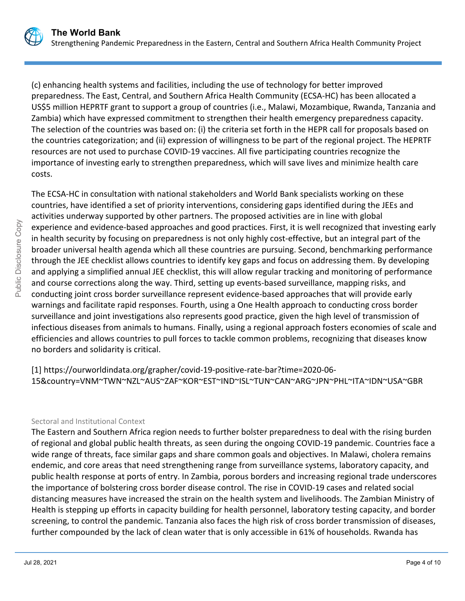

(c) enhancing health systems and facilities, including the use of technology for better improved preparedness. The East, Central, and Southern Africa Health Community (ECSA-HC) has been allocated a US\$5 million HEPRTF grant to support a group of countries (i.e., Malawi, Mozambique, Rwanda, Tanzania and Zambia) which have expressed commitment to strengthen their health emergency preparedness capacity. The selection of the countries was based on: (i) the criteria set forth in the HEPR call for proposals based on the countries categorization; and (ii) expression of willingness to be part of the regional project. The HEPRTF resources are not used to purchase COVID-19 vaccines. All five participating countries recognize the importance of investing early to strengthen preparedness, which will save lives and minimize health care costs.

The ECSA-HC in consultation with national stakeholders and World Bank specialists working on these countries, have identified a set of priority interventions, considering gaps identified during the JEEs and activities underway supported by other partners. The proposed activities are in line with global experience and evidence-based approaches and good practices. First, it is well recognized that investing early in health security by focusing on preparedness is not only highly cost-effective, but an integral part of the broader universal health agenda which all these countries are pursuing. Second, benchmarking performance through the JEE checklist allows countries to identify key gaps and focus on addressing them. By developing and applying a simplified annual JEE checklist, this will allow regular tracking and monitoring of performance and course corrections along the way. Third, setting up events-based surveillance, mapping risks, and conducting joint cross border surveillance represent evidence-based approaches that will provide early warnings and facilitate rapid responses. Fourth, using a One Health approach to conducting cross border surveillance and joint investigations also represents good practice, given the high level of transmission of infectious diseases from animals to humans. Finally, using a regional approach fosters economies of scale and efficiencies and allows countries to pull forces to tackle common problems, recognizing that diseases know no borders and solidarity is critical.

[1] https://ourworldindata.org/grapher/covid-19-positive-rate-bar?time=2020-06- 15&country=VNM~TWN~NZL~AUS~ZAF~KOR~EST~IND~ISL~TUN~CAN~ARG~JPN~PHL~ITA~IDN~USA~GBR

## Sectoral and Institutional Context

The Eastern and Southern Africa region needs to further bolster preparedness to deal with the rising burden of regional and global public health threats, as seen during the ongoing COVID-19 pandemic. Countries face a wide range of threats, face similar gaps and share common goals and objectives. In Malawi, cholera remains endemic, and core areas that need strengthening range from surveillance systems, laboratory capacity, and public health response at ports of entry. In Zambia, porous borders and increasing regional trade underscores the importance of bolstering cross border disease control. The rise in COVID-19 cases and related social distancing measures have increased the strain on the health system and livelihoods. The Zambian Ministry of Health is stepping up efforts in capacity building for health personnel, laboratory testing capacity, and border screening, to control the pandemic. Tanzania also faces the high risk of cross border transmission of diseases, further compounded by the lack of clean water that is only accessible in 61% of households. Rwanda has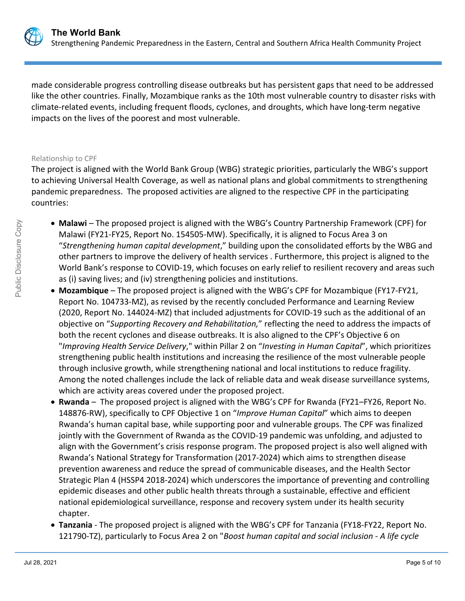

made considerable progress controlling disease outbreaks but has persistent gaps that need to be addressed like the other countries. Finally, Mozambique ranks as the 10th most vulnerable country to disaster risks with climate-related events, including frequent floods, cyclones, and droughts, which have long-term negative impacts on the lives of the poorest and most vulnerable.

### Relationship to CPF

The project is aligned with the World Bank Group (WBG) strategic priorities, particularly the WBG's support to achieving Universal Health Coverage, as well as national plans and global commitments to strengthening pandemic preparedness. The proposed activities are aligned to the respective CPF in the participating countries:

- **Malawi** The proposed project is aligned with the WBG's Country Partnership Framework (CPF) for Malawi (FY21-FY25, Report No. 154505-MW). Specifically, it is aligned to Focus Area 3 on "*Strengthening human capital development*," building upon the consolidated efforts by the WBG and other partners to improve the delivery of health services . Furthermore, this project is aligned to the World Bank's response to COVID-19, which focuses on early relief to resilient recovery and areas such as (i) saving lives; and (iv) strengthening policies and institutions.
- **Mozambique**  The proposed project is aligned with the WBG's CPF for Mozambique (FY17-FY21, Report No. 104733-MZ), as revised by the recently concluded Performance and Learning Review (2020, Report No. 144024-MZ) that included adjustments for COVID-19 such as the additional of an objective on "*Supporting Recovery and Rehabilitation,*" reflecting the need to address the impacts of both the recent cyclones and disease outbreaks. It is also aligned to the CPF's Objective 6 on "*Improving Health Service Delivery*," within Pillar 2 on "*Investing in Human Capital*", which prioritizes strengthening public health institutions and increasing the resilience of the most vulnerable people through inclusive growth, while strengthening national and local institutions to reduce fragility. Among the noted challenges include the lack of reliable data and weak disease surveillance systems, which are activity areas covered under the proposed project.
- **Rwanda**  The proposed project is aligned with the WBG's CPF for Rwanda (FY21–FY26, Report No. 148876-RW), specifically to CPF Objective 1 on "*Improve Human Capital*" which aims to deepen Rwanda's human capital base, while supporting poor and vulnerable groups. The CPF was finalized jointly with the Government of Rwanda as the COVID-19 pandemic was unfolding, and adjusted to align with the Government's crisis response program. The proposed project is also well aligned with Rwanda's National Strategy for Transformation (2017-2024) which aims to strengthen disease prevention awareness and reduce the spread of communicable diseases, and the Health Sector Strategic Plan 4 (HSSP4 2018-2024) which underscores the importance of preventing and controlling epidemic diseases and other public health threats through a sustainable, effective and efficient national epidemiological surveillance, response and recovery system under its health security chapter.
- **Tanzania** The proposed project is aligned with the WBG's CPF for Tanzania (FY18-FY22, Report No. 121790-TZ), particularly to Focus Area 2 on "*Boost human capital and social inclusion - A life cycle*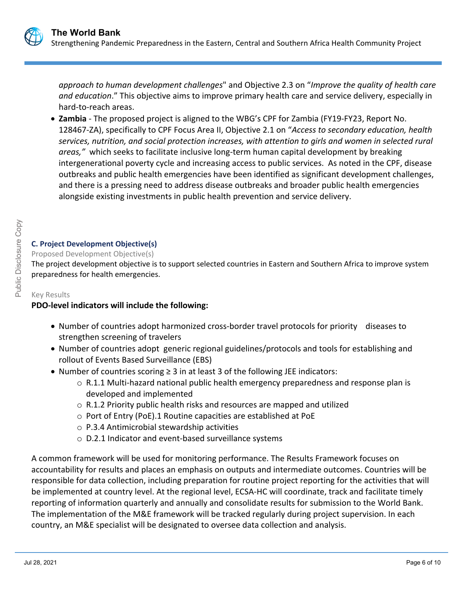

*approach to human development challenges*" and Objective 2.3 on "*Improve the quality of health care and education*." This objective aims to improve primary health care and service delivery, especially in hard-to-reach areas.

 **Zambia** - The proposed project is aligned to the WBG's CPF for Zambia (FY19-FY23, Report No. 128467-ZA), specifically to CPF Focus Area II, Objective 2.1 on "*Access to secondary education, health services, nutrition, and social protection increases, with attention to girls and women in selected rural areas,"* which seeks to facilitate inclusive long-term human capital development by breaking intergenerational poverty cycle and increasing access to public services. As noted in the CPF, disease outbreaks and public health emergencies have been identified as significant development challenges, and there is a pressing need to address disease outbreaks and broader public health emergencies alongside existing investments in public health prevention and service delivery.

# **C. Project Development Objective(s)**

# Proposed Development Objective(s)

The project development objective is to support selected countries in Eastern and Southern Africa to improve system preparedness for health emergencies.

# Key Results

# **PDO-level indicators will include the following:**

- Number of countries adopt harmonized cross-border travel protocols for priority diseases to strengthen screening of travelers
- Number of countries adopt generic regional guidelines/protocols and tools for establishing and rollout of Events Based Surveillance (EBS)
- Number of countries scoring ≥ 3 in at least 3 of the following JEE indicators:
	- $\circ$  R.1.1 Multi-hazard national public health emergency preparedness and response plan is developed and implemented
	- o R.1.2 Priority public health risks and resources are mapped and utilized
	- o Port of Entry (PoE).1 Routine capacities are established at PoE
	- o P.3.4 Antimicrobial stewardship activities
	- o D.2.1 Indicator and event-based surveillance systems

A common framework will be used for monitoring performance. The Results Framework focuses on accountability for results and places an emphasis on outputs and intermediate outcomes. Countries will be responsible for data collection, including preparation for routine project reporting for the activities that will be implemented at country level. At the regional level, ECSA-HC will coordinate, track and facilitate timely reporting of information quarterly and annually and consolidate results for submission to the World Bank. The implementation of the M&E framework will be tracked regularly during project supervision. In each country, an M&E specialist will be designated to oversee data collection and analysis.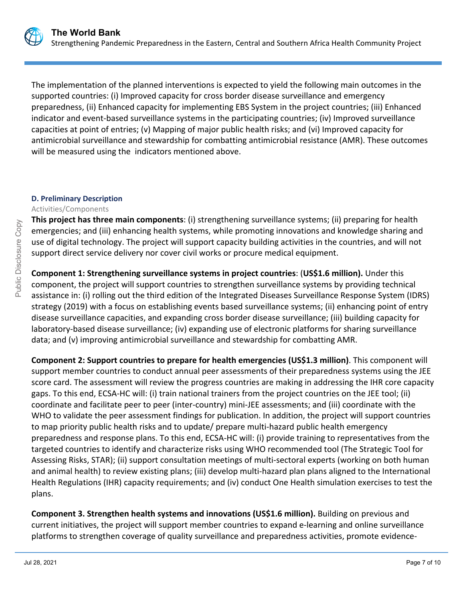

The implementation of the planned interventions is expected to yield the following main outcomes in the supported countries: (i) Improved capacity for cross border disease surveillance and emergency preparedness, (ii) Enhanced capacity for implementing EBS System in the project countries; (iii) Enhanced indicator and event-based surveillance systems in the participating countries; (iv) Improved surveillance capacities at point of entries; (v) Mapping of major public health risks; and (vi) Improved capacity for antimicrobial surveillance and stewardship for combatting antimicrobial resistance (AMR). These outcomes will be measured using the indicators mentioned above.

## **D. Preliminary Description**

### Activities/Components

**This project has three main components**: (i) strengthening surveillance systems; (ii) preparing for health emergencies; and (iii) enhancing health systems, while promoting innovations and knowledge sharing and use of digital technology. The project will support capacity building activities in the countries, and will not support direct service delivery nor cover civil works or procure medical equipment.

**Component 1: Strengthening surveillance systems in project countries**: (**US\$1.6 million).** Under this component, the project will support countries to strengthen surveillance systems by providing technical assistance in: (i) rolling out the third edition of the Integrated Diseases Surveillance Response System (IDRS) strategy (2019) with a focus on establishing events based surveillance systems; (ii) enhancing point of entry disease surveillance capacities, and expanding cross border disease surveillance; (iii) building capacity for laboratory-based disease surveillance; (iv) expanding use of electronic platforms for sharing surveillance data; and (v) improving antimicrobial surveillance and stewardship for combatting AMR.

**Component 2: Support countries to prepare for health emergencies (US\$1.3 million)**. This component will support member countries to conduct annual peer assessments of their preparedness systems using the JEE score card. The assessment will review the progress countries are making in addressing the IHR core capacity gaps. To this end, ECSA-HC will: (i) train national trainers from the project countries on the JEE tool; (ii) coordinate and facilitate peer to peer (inter-country) mini-JEE assessments; and (iii) coordinate with the WHO to validate the peer assessment findings for publication. In addition, the project will support countries to map priority public health risks and to update/ prepare multi-hazard public health emergency preparedness and response plans. To this end, ECSA-HC will: (i) provide training to representatives from the targeted countries to identify and characterize risks using WHO recommended tool (The Strategic Tool for Assessing Risks, STAR); (ii) support consultation meetings of multi-sectoral experts (working on both human and animal health) to review existing plans; (iii) develop multi-hazard plan plans aligned to the International Health Regulations (IHR) capacity requirements; and (iv) conduct One Health simulation exercises to test the plans.

**Component 3. Strengthen health systems and innovations (US\$1.6 million).** Building on previous and current initiatives, the project will support member countries to expand e-learning and online surveillance platforms to strengthen coverage of quality surveillance and preparedness activities, promote evidence-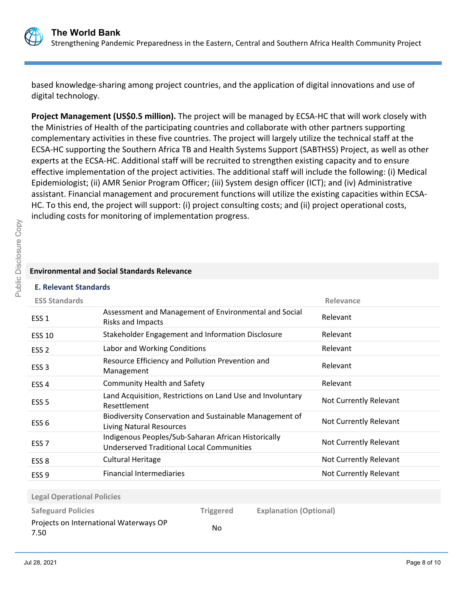

based knowledge-sharing among project countries, and the application of digital innovations and use of digital technology.

**Project Management (US\$0.5 million).** The project will be managed by ECSA-HC that will work closely with the Ministries of Health of the participating countries and collaborate with other partners supporting complementary activities in these five countries. The project will largely utilize the technical staff at the ECSA-HC supporting the Southern Africa TB and Health Systems Support (SABTHSS) Project, as well as other experts at the ECSA-HC. Additional staff will be recruited to strengthen existing capacity and to ensure effective implementation of the project activities. The additional staff will include the following: (i) Medical Epidemiologist; (ii) AMR Senior Program Officer; (iii) System design officer (ICT); and (iv) Administrative assistant. Financial management and procurement functions will utilize the existing capacities within ECSA-HC. To this end, the project will support: (i) project consulting costs; and (ii) project operational costs, including costs for monitoring of implementation progress.

## **Environmental and Social Standards Relevance**

## **E. Relevant Standards**

| <b>ESS Standards</b>              |                                                                                                         |                  |                               | Relevance              |
|-----------------------------------|---------------------------------------------------------------------------------------------------------|------------------|-------------------------------|------------------------|
| ESS <sub>1</sub>                  | Assessment and Management of Environmental and Social<br><b>Risks and Impacts</b>                       |                  |                               | Relevant               |
| <b>ESS 10</b>                     | Stakeholder Engagement and Information Disclosure                                                       |                  |                               | Relevant               |
| ESS <sub>2</sub>                  | Labor and Working Conditions                                                                            |                  |                               | Relevant               |
| ESS <sub>3</sub>                  | Resource Efficiency and Pollution Prevention and<br>Management                                          |                  |                               | Relevant               |
| ESS <sub>4</sub>                  | Community Health and Safety                                                                             |                  |                               | Relevant               |
| ESS <sub>5</sub>                  | Land Acquisition, Restrictions on Land Use and Involuntary<br>Resettlement                              |                  |                               | Not Currently Relevant |
| ESS <sub>6</sub>                  | Biodiversity Conservation and Sustainable Management of<br>Living Natural Resources                     |                  |                               | Not Currently Relevant |
| ESS <sub>7</sub>                  | Indigenous Peoples/Sub-Saharan African Historically<br><b>Underserved Traditional Local Communities</b> |                  |                               | Not Currently Relevant |
| ESS <sub>8</sub>                  | <b>Cultural Heritage</b>                                                                                |                  |                               | Not Currently Relevant |
| ESS <sub>9</sub>                  | <b>Financial Intermediaries</b>                                                                         |                  |                               | Not Currently Relevant |
|                                   |                                                                                                         |                  |                               |                        |
| <b>Legal Operational Policies</b> |                                                                                                         |                  |                               |                        |
| <b>Safeguard Policies</b>         |                                                                                                         | <b>Triggered</b> | <b>Explanation (Optional)</b> |                        |
| 7.50                              | Projects on International Waterways OP                                                                  | No               |                               |                        |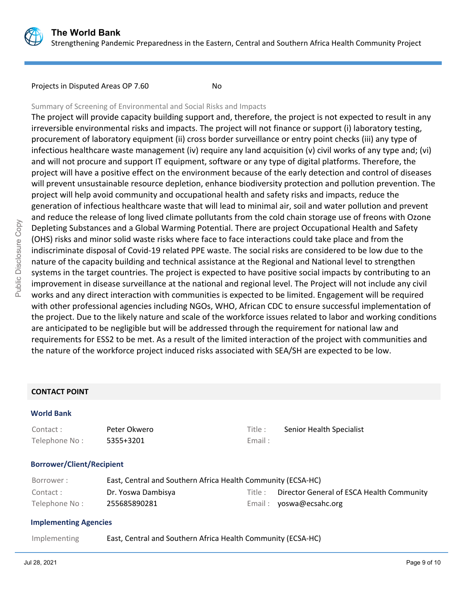

Projects in Disputed Areas OP 7.60

## Summary of Screening of Environmental and Social Risks and Impacts

The project will provide capacity building support and, therefore, the project is not expected to result in any irreversible environmental risks and impacts. The project will not finance or support (i) laboratory testing, procurement of laboratory equipment (ii) cross border surveillance or entry point checks (iii) any type of infectious healthcare waste management (iv) require any land acquisition (v) civil works of any type and; (vi) and will not procure and support IT equipment, software or any type of digital platforms. Therefore, the project will have a positive effect on the environment because of the early detection and control of diseases will prevent unsustainable resource depletion, enhance biodiversity protection and pollution prevention. The project will help avoid community and occupational health and safety risks and impacts, reduce the generation of infectious healthcare waste that will lead to minimal air, soil and water pollution and prevent and reduce the release of long lived climate pollutants from the cold chain storage use of freons with Ozone Depleting Substances and a Global Warming Potential. There are project Occupational Health and Safety (OHS) risks and minor solid waste risks where face to face interactions could take place and from the indiscriminate disposal of Covid-19 related PPE waste. The social risks are considered to be low due to the nature of the capacity building and technical assistance at the Regional and National level to strengthen systems in the target countries. The project is expected to have positive social impacts by contributing to an improvement in disease surveillance at the national and regional level. The Project will not include any civil works and any direct interaction with communities is expected to be limited. Engagement will be required with other professional agencies including NGOs, WHO, African CDC to ensure successful implementation of the project. Due to the likely nature and scale of the workforce issues related to labor and working conditions are anticipated to be negligible but will be addressed through the requirement for national law and requirements for ESS2 to be met. As a result of the limited interaction of the project with communities and the nature of the workforce project induced risks associated with SEA/SH are expected to be low.

## **CONTACT POINT**

#### **World Bank**

| Contact:      | Peter Okwero | Title: |
|---------------|--------------|--------|
| Telephone No: | 5355+3201    | Email: |

# Title : Senior Health Specialist

## **Borrower/Client/Recipient**

| Borrower :     | East, Central and Southern Africa Health Community (ECSA-HC) |         |                                           |
|----------------|--------------------------------------------------------------|---------|-------------------------------------------|
| Contact:       | Dr. Yoswa Dambisya                                           | Title : | Director General of ESCA Health Community |
| Telephone No : | 255685890281                                                 |         | Email: yoswa@ecsahc.org                   |

## **Implementing Agencies**

Implementing East, Central and Southern Africa Health Community (ECSA-HC)